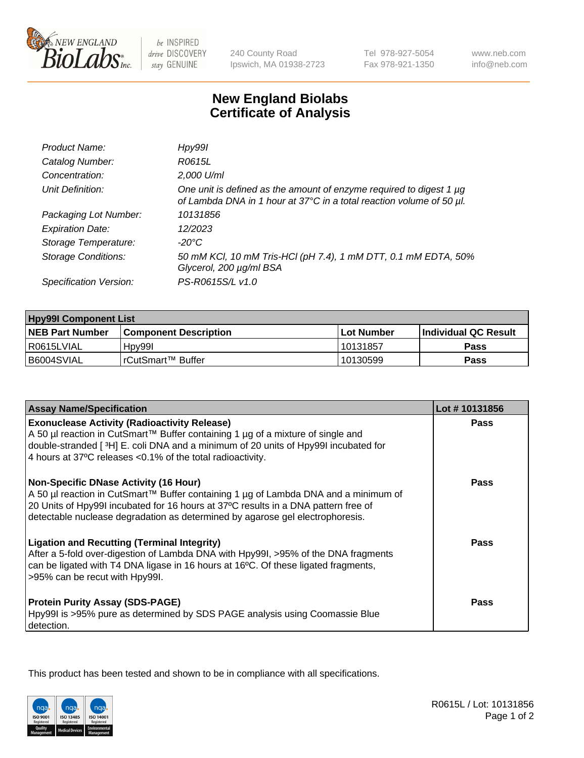

be INSPIRED drive DISCOVERY stay GENUINE

240 County Road Ipswich, MA 01938-2723 Tel 978-927-5054 Fax 978-921-1350

www.neb.com info@neb.com

## **New England Biolabs Certificate of Analysis**

| Product Name:              | Hpy99l                                                                                                                                      |
|----------------------------|---------------------------------------------------------------------------------------------------------------------------------------------|
| Catalog Number:            | R0615L                                                                                                                                      |
| Concentration:             | 2,000 U/ml                                                                                                                                  |
| Unit Definition:           | One unit is defined as the amount of enzyme required to digest 1 µg<br>of Lambda DNA in 1 hour at 37°C in a total reaction volume of 50 µl. |
| Packaging Lot Number:      | 10131856                                                                                                                                    |
| <b>Expiration Date:</b>    | 12/2023                                                                                                                                     |
| Storage Temperature:       | -20°C                                                                                                                                       |
| <b>Storage Conditions:</b> | 50 mM KCl, 10 mM Tris-HCl (pH 7.4), 1 mM DTT, 0.1 mM EDTA, 50%<br>Glycerol, 200 µg/ml BSA                                                   |
| Specification Version:     | PS-R0615S/L v1.0                                                                                                                            |

| <b>Hpy99I Component List</b> |                         |              |                             |  |
|------------------------------|-------------------------|--------------|-----------------------------|--|
| <b>NEB Part Number</b>       | l Component Description | l Lot Number | <b>Individual QC Result</b> |  |
| I R0615LVIAL                 | Hpy99I                  | 10131857     | Pass                        |  |
| B6004SVIAL                   | !rCutSmart™ Buffer_     | 10130599     | Pass                        |  |

| <b>Assay Name/Specification</b>                                                                                                                                                                                                                                                                            | Lot #10131856 |
|------------------------------------------------------------------------------------------------------------------------------------------------------------------------------------------------------------------------------------------------------------------------------------------------------------|---------------|
| <b>Exonuclease Activity (Radioactivity Release)</b><br>A 50 µl reaction in CutSmart™ Buffer containing 1 µg of a mixture of single and                                                                                                                                                                     | <b>Pass</b>   |
| double-stranded [3H] E. coli DNA and a minimum of 20 units of Hpy99I incubated for<br>4 hours at 37°C releases <0.1% of the total radioactivity.                                                                                                                                                           |               |
| <b>Non-Specific DNase Activity (16 Hour)</b><br>A 50 µl reaction in CutSmart™ Buffer containing 1 µg of Lambda DNA and a minimum of<br>20 Units of Hpy99I incubated for 16 hours at 37°C results in a DNA pattern free of<br>detectable nuclease degradation as determined by agarose gel electrophoresis. | Pass          |
| <b>Ligation and Recutting (Terminal Integrity)</b><br>After a 5-fold over-digestion of Lambda DNA with Hpy99I, >95% of the DNA fragments<br>can be ligated with T4 DNA ligase in 16 hours at 16°C. Of these ligated fragments,<br>>95% can be recut with Hpy99I.                                           | Pass          |
| <b>Protein Purity Assay (SDS-PAGE)</b><br>Hpy99I is >95% pure as determined by SDS PAGE analysis using Coomassie Blue<br>detection.                                                                                                                                                                        | <b>Pass</b>   |

This product has been tested and shown to be in compliance with all specifications.